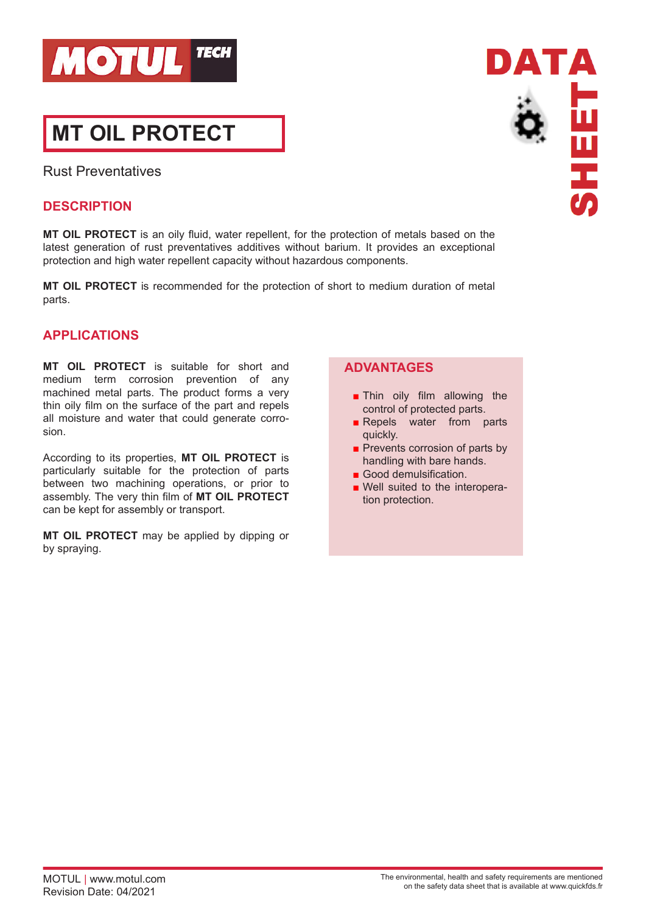

# **MT OIL PROTECT**

Rust Preventatives

## **DESCRIPTION**

**MT OIL PROTECT** is an oily fluid, water repellent, for the protection of metals based on the latest generation of rust preventatives additives without barium. It provides an exceptional protection and high water repellent capacity without hazardous components.

**MT OIL PROTECT** is recommended for the protection of short to medium duration of metal parts.

## **APPLICATIONS**

**MT OIL PROTECT** is suitable for short and medium term corrosion prevention of any machined metal parts. The product forms a very thin oily film on the surface of the part and repels all moisture and water that could generate corrosion.

According to its properties, **MT OIL PROTECT** is particularly suitable for the protection of parts between two machining operations, or prior to assembly. The very thin film of **MT OIL PROTECT** can be kept for assembly or transport.

**MT OIL PROTECT** may be applied by dipping or by spraying.

### **ADVANTAGES**

- **Thin oily film allowing the** control of protected parts.
- Repels water from parts quickly.
- Prevents corrosion of parts by handling with bare hands.
- Good demulsification.
- Well suited to the interoperation protection.